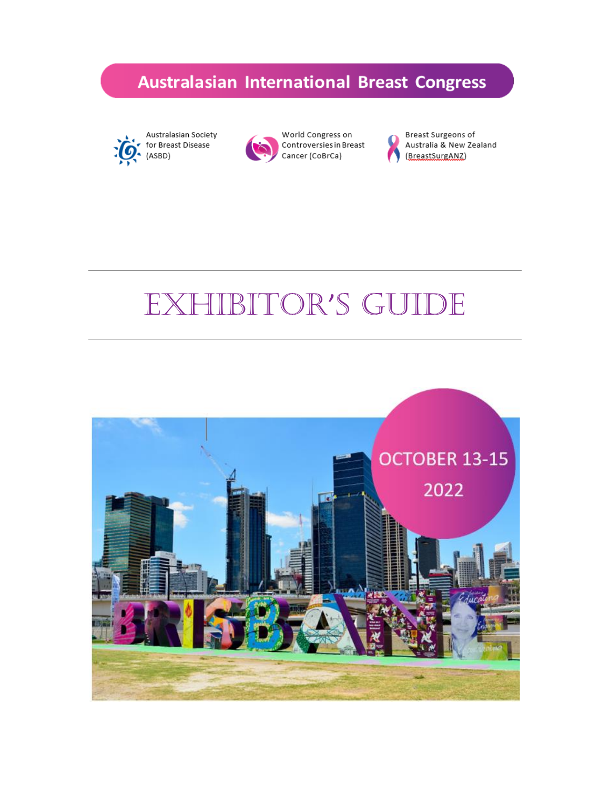



World Congress on Controversies in Breast Cancer (CoBrCa)



Breast Surgeons of Australia & New Zealand (BreastSurgANZ)

# Exhibitor's guide

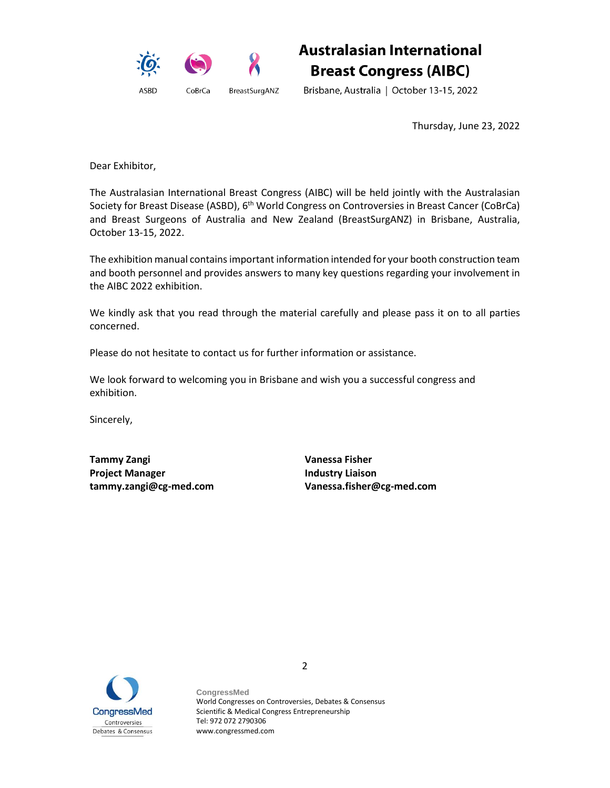

Brisbane, Australia | October 13-15, 2022

Thursday, June 23, 2022

Dear Exhibitor,

The Australasian International Breast Congress (AIBC) will be held jointly with the Australasian Society for Breast Disease (ASBD), 6<sup>th</sup> World Congress on Controversies in Breast Cancer (CoBrCa) and Breast Surgeons of Australia and New Zealand (BreastSurgANZ) in Brisbane, Australia, October 13-15, 2022.

The exhibition manual contains important information intended for your booth construction team and booth personnel and provides answers to many key questions regarding your involvement in the AIBC 2022 exhibition.

We kindly ask that you read through the material carefully and please pass it on to all parties concerned.

Please do not hesitate to contact us for further information or assistance.

We look forward to welcoming you in Brisbane and wish you a successful congress and exhibition.

Sincerely,

**Tammy Zangi Vanessa Fisher Project Manager Industry Liaison**

**tammy.zangi@cg-med.com Vanessa.fisher@cg-med.com**



**CongressMed** World Congresses on Controversies, Debates & Consensus Scientific & Medical Congress Entrepreneurship Tel: 972 072 2790306 www.congressmed.com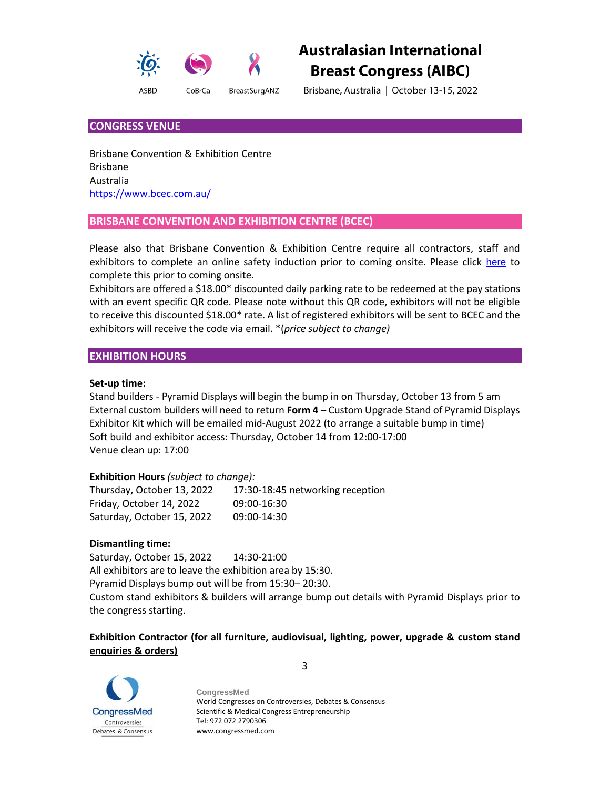

Brisbane, Australia | October 13-15, 2022

# **CONGRESS VENUE**

Brisbane Convention & Exhibition Centre Brisbane Australia <https://www.bcec.com.au/>

# **BRISBANE CONVENTION AND EXHIBITION CENTRE (BCEC)**

Please also that Brisbane Convention & Exhibition Centre require all contractors, staff and exhibitors to complete an online safety induction prior to coming onsite. Please click [here](https://www.bcec.com.au/safety-induction/) to complete this prior to coming onsite.

Exhibitors are offered a \$18.00\* discounted daily parking rate to be redeemed at the pay stations with an event specific QR code. Please note without this QR code, exhibitors will not be eligible to receive this discounted \$18.00\* rate. A list of registered exhibitors will be sent to BCEC and the exhibitors will receive the code via email. \*(*price subject to change)*

# **EXHIBITION HOURS**

#### **Set-up time:**

Stand builders - Pyramid Displays will begin the bump in on Thursday, October 13 from 5 am External custom builders will need to return **Form 4** – Custom Upgrade Stand of Pyramid Displays Exhibitor Kit which will be emailed mid-August 2022 (to arrange a suitable bump in time) Soft build and exhibitor access: Thursday, October 14 from 12:00-17:00 Venue clean up: 17:00

# **Exhibition Hours** *(subject to change):*

| Thursday, October 13, 2022 | 17:30-18:45 networking reception |
|----------------------------|----------------------------------|
| Friday, October 14, 2022   | 09:00-16:30                      |
| Saturday, October 15, 2022 | 09:00-14:30                      |

#### **Dismantling time:**

Saturday, October 15, 2022 14:30-21:00 All exhibitors are to leave the exhibition area by 15:30. Pyramid Displays bump out will be from 15:30– 20:30. Custom stand exhibitors & builders will arrange bump out details with Pyramid Displays prior to the congress starting.

# **Exhibition Contractor (for all furniture, audiovisual, lighting, power, upgrade & custom stand enquiries & orders)**



**CongressMed** World Congresses on Controversies, Debates & Consensus Scientific & Medical Congress Entrepreneurship Tel: 972 072 2790306 www.congressmed.com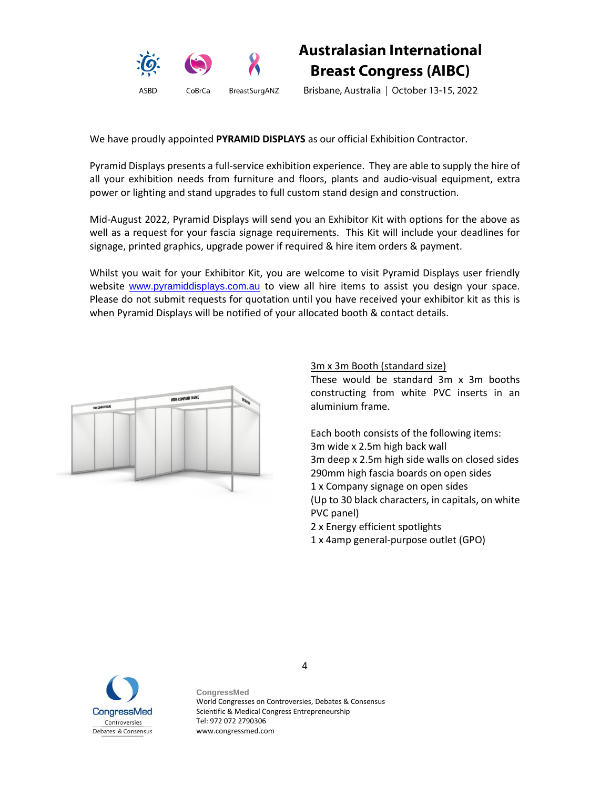

Brisbane, Australia | October 13-15, 2022

We have proudly appointed **PYRAMID DISPLAYS** as our official Exhibition Contractor.

Pyramid Displays presents a full-service exhibition experience. They are able to supply the hire of all your exhibition needs from furniture and floors, plants and audio-visual equipment, extra power or lighting and stand upgrades to full custom stand design and construction.

Mid-August 2022, Pyramid Displays will send you an Exhibitor Kit with options for the above as well as a request for your fascia signage requirements. This Kit will include your deadlines for signage, printed graphics, upgrade power if required & hire item orders & payment.

Whilst you wait for your Exhibitor Kit, you are welcome to visit Pyramid Displays user friendly website [www.pyramiddisplays.com.au](http://www.pyramiddisplays.com.au/) to view all hire items to assist you design your space. Please do not submit requests for quotation until you have received your exhibitor kit as this is when Pyramid Displays will be notified of your allocated booth & contact details.



# 3m x 3m Booth (standard size)

These would be standard 3m x 3m booths constructing from white PVC inserts in an aluminium frame.

Each booth consists of the following items: 3m wide x 2.5m high back wall 3m deep x 2.5m high side walls on closed sides 290mm high fascia boards on open sides 1 x Company signage on open sides (Up to 30 black characters, in capitals, on white PVC panel) 2 x Energy efficient spotlights

1 x 4amp general-purpose outlet (GPO)



**CongressMed** World Congresses on Controversies, Debates & Consensus Scientific & Medical Congress Entrepreneurship Tel: 972 072 2790306 www.congressmed.com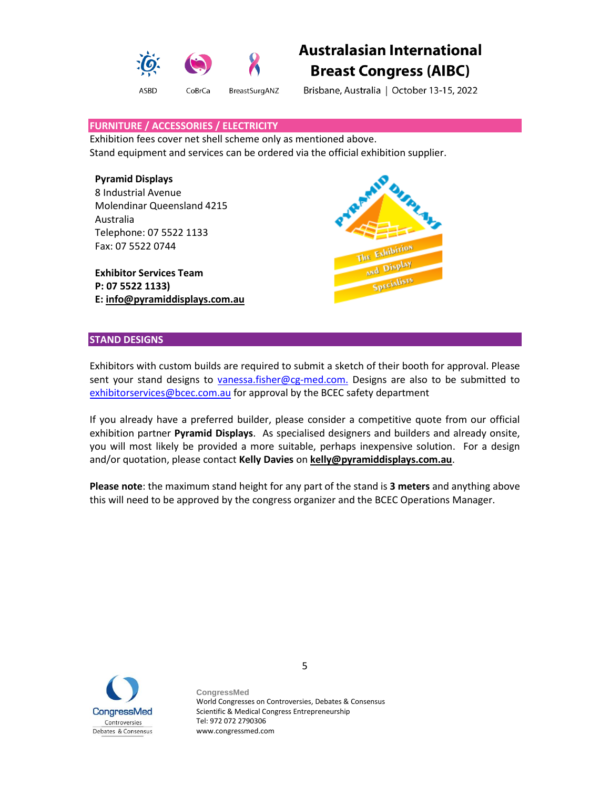

Brisbane, Australia | October 13-15, 2022

#### **FURNITURE / ACCESSORIES / ELECTRICITY**

Exhibition fees cover net shell scheme only as mentioned above. Stand equipment and services can be ordered via the official exhibition supplier.

#### **Pyramid Displays**

8 Industrial Avenue Molendinar Queensland 4215 Australia Telephone: 07 5522 1133 Fax: 07 5522 0744

**Exhibitor Services Team P: 07 5522 1133) E: [info@pyramiddisplays.com.au](mailto:info@pyramiddisplays.com.au)**



#### **STAND DESIGNS**

Exhibitors with custom builds are required to submit a sketch of their booth for approval. Please sent your stand designs to [vanessa.fisher@cg-med.com.](mailto:vanessa.fisher@cg-med.com.P) Designs are also to be submitted to [exhibitorservices@bcec.com.au](mailto:exhibitorservices@bcec.com.au) for approval by the BCEC safety department

If you already have a preferred builder, please consider a competitive quote from our official exhibition partner **Pyramid Displays**. As specialised designers and builders and already onsite, you will most likely be provided a more suitable, perhaps inexpensive solution. For a design and/or quotation, please contact **Kelly Davies** on **[kelly@pyramiddisplays.com.au](mailto:kelly@pyramiddisplays.com.au)**.

**Please note**: the maximum stand height for any part of the stand is **3 meters** and anything above this will need to be approved by the congress organizer and the BCEC Operations Manager.



**CongressMed** World Congresses on Controversies, Debates & Consensus Scientific & Medical Congress Entrepreneurship Tel: 972 072 2790306 www.congressmed.com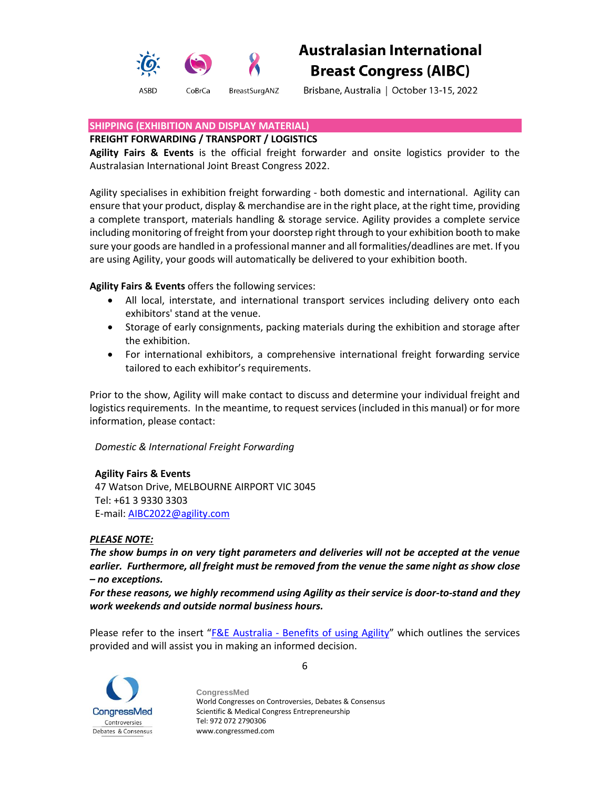

Brisbane, Australia | October 13-15, 2022

#### **SHIPPING (EXHIBITION AND DISPLAY MATERIAL)**

#### **FREIGHT FORWARDING / TRANSPORT / LOGISTICS**

**Agility Fairs & Events** is the official freight forwarder and onsite logistics provider to the Australasian International Joint Breast Congress 2022.

Agility specialises in exhibition freight forwarding - both domestic and international. Agility can ensure that your product, display & merchandise are in the right place, at the right time, providing a complete transport, materials handling & storage service. Agility provides a complete service including monitoring of freight from your doorstep right through to your exhibition booth to make sure your goods are handled in a professional manner and all formalities/deadlines are met. If you are using Agility, your goods will automatically be delivered to your exhibition booth.

**Agility Fairs & Events** offers the following services:

- All local, interstate, and international transport services including delivery onto each exhibitors' stand at the venue.
- Storage of early consignments, packing materials during the exhibition and storage after the exhibition.
- For international exhibitors, a comprehensive international freight forwarding service tailored to each exhibitor's requirements.

Prior to the show, Agility will make contact to discuss and determine your individual freight and logistics requirements. In the meantime, to request services (included in this manual) or for more information, please contact:

*Domestic & International Freight Forwarding*

# **Agility Fairs & Events**

47 Watson Drive, MELBOURNE AIRPORT VIC 3045 Tel: +61 3 9330 3303 E-mail[: AIBC2022@agility.com](mailto:AIBC2021@agility.com)

# *PLEASE NOTE:*

*The show bumps in on very tight parameters and deliveries will not be accepted at the venue earlier. Furthermore, all freight must be removed from the venue the same night as show close – no exceptions.*

*For these reasons, we highly recommend using Agility as their service is door-to-stand and they work weekends and outside normal business hours.* 

Please refer to the insert " $F & E$  Australia - [Benefits of using Agility](https://secureservercdn.net/160.153.137.218/f4t.188.myftpupload.com/wp-content/uploads/2021/04/FE-Australia-Benefits-of-using-Agility.pdf)" which outlines the services provided and will assist you in making an informed decision.



**CongressMed** World Congresses on Controversies, Debates & Consensus Scientific & Medical Congress Entrepreneurship Tel: 972 072 2790306 www.congressmed.com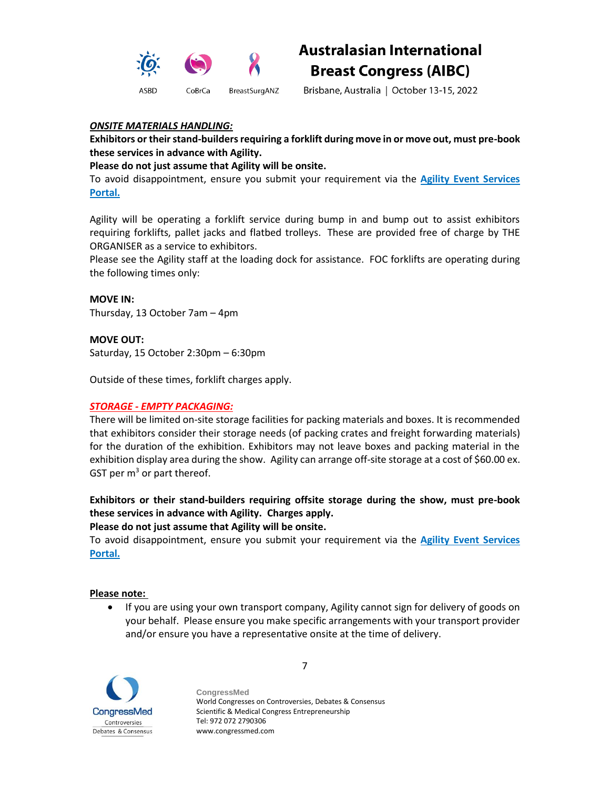

Brisbane, Australia | October 13-15, 2022

# *ONSITE MATERIALS HANDLING:*

**Exhibitors or their stand-builders requiring a forklift during move in or move out, must pre-book these services in advance with Agility.**

# **Please do not just assume that Agility will be onsite.**

To avoid disappointment, ensure you submit your requirement via the **Agility Event Services Portal.**

Agility will be operating a forklift service during bump in and bump out to assist exhibitors requiring forklifts, pallet jacks and flatbed trolleys. These are provided free of charge by THE ORGANISER as a service to exhibitors.

Please see the Agility staff at the loading dock for assistance. FOC forklifts are operating during the following times only:

**MOVE IN:** Thursday, 13 October 7am – 4pm

**MOVE OUT:** Saturday, 15 October 2:30pm – 6:30pm

Outside of these times, forklift charges apply.

# *STORAGE - EMPTY PACKAGING:*

There will be limited on-site storage facilities for packing materials and boxes. It is recommended that exhibitors consider their storage needs (of packing crates and freight forwarding materials) for the duration of the exhibition. Exhibitors may not leave boxes and packing material in the exhibition display area during the show. Agility can arrange off-site storage at a cost of \$60.00 ex. GST per  $m<sup>3</sup>$  or part thereof.

**Exhibitors or their stand-builders requiring offsite storage during the show, must pre-book these services in advance with Agility. Charges apply.**

**Please do not just assume that Agility will be onsite.**

To avoid disappointment, ensure you submit your requirement via the **Agility Event Services Portal.**

#### **Please note:**

• If you are using your own transport company, Agility cannot sign for delivery of goods on your behalf. Please ensure you make specific arrangements with your transport provider and/or ensure you have a representative onsite at the time of delivery.



**CongressMed** World Congresses on Controversies, Debates & Consensus Scientific & Medical Congress Entrepreneurship Tel: 972 072 2790306 www.congressmed.com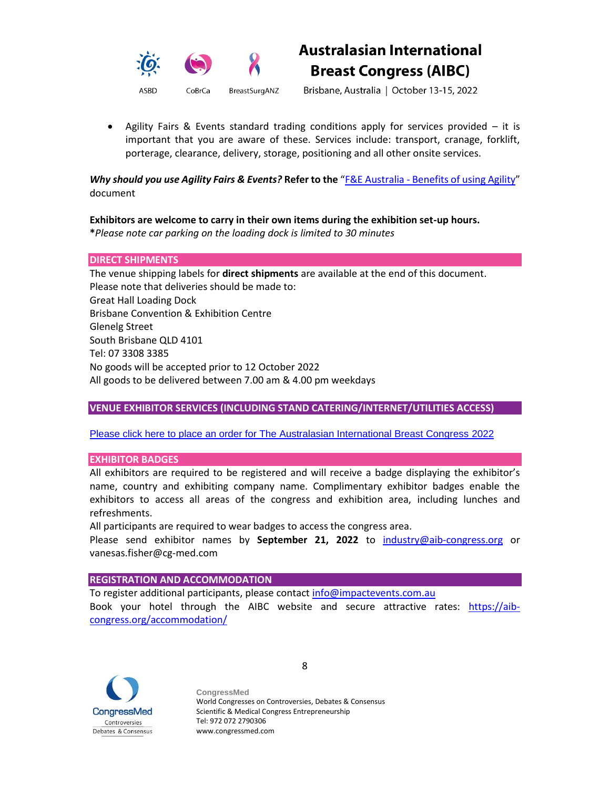



Brisbane, Australia | October 13-15, 2022

• Agility Fairs & Events standard trading conditions apply for services provided – it is important that you are aware of these. Services include: transport, cranage, forklift, porterage, clearance, delivery, storage, positioning and all other onsite services.

*Why should you use Agility Fairs & Events?* **Refer to the** "F&E Australia - [Benefits of using Agility](https://secureservercdn.net/160.153.137.218/f4t.188.myftpupload.com/wp-content/uploads/2021/04/FE-Australia-Benefits-of-using-Agility.pdf)" document

# **Exhibitors are welcome to carry in their own items during the exhibition set-up hours.**

**\****Please note car parking on the loading dock is limited to 30 minutes*

#### **DIRECT SHIPMENTS**

The venue shipping labels for **direct shipments** are available at the end of this document. Please note that deliveries should be made to: Great Hall Loading Dock Brisbane Convention & Exhibition Centre Glenelg Street South Brisbane QLD 4101 Tel: 07 3308 3385 No goods will be accepted prior to 12 October 2022 All goods to be delivered between 7.00 am & 4.00 pm weekdays

# **VENUE EXHIBITOR SERVICES (INCLUDING STAND CATERING/INTERNET/UTILITIES ACCESS)**

#### [Please click here to place an order for The Australasian International Breast Congress 2022](https://bcec.ungerboeck.net/prod/app85.cshtml?aat=dilMEvD3nWCtc27JInkMrM8%2ff%2fwKrkVV5fechIlI4z8%3d)

#### **EXHIBITOR BADGES**

All exhibitors are required to be registered and will receive a badge displaying the exhibitor's name, country and exhibiting company name. Complimentary exhibitor badges enable the exhibitors to access all areas of the congress and exhibition area, including lunches and refreshments.

All participants are required to wear badges to access the congress area.

Please send exhibitor names by **September 21, 2022** to [industry@aib-congress.org](mailto:industry@aib-congress.org) or vanesas.fisher@cg-med.com

#### **REGISTRATION AND ACCOMMODATION**

To register additional participants, please contact [info@impactevents.com.au](mailto:info@impactevents.com.au) Book your hotel through the AIBC website and secure attractive rates: [https://aib](https://aib-congress.org/accommodation/)[congress.org/accommodation/](https://aib-congress.org/accommodation/)



**CongressMed** World Congresses on Controversies, Debates & Consensus Scientific & Medical Congress Entrepreneurship Tel: 972 072 2790306 www.congressmed.com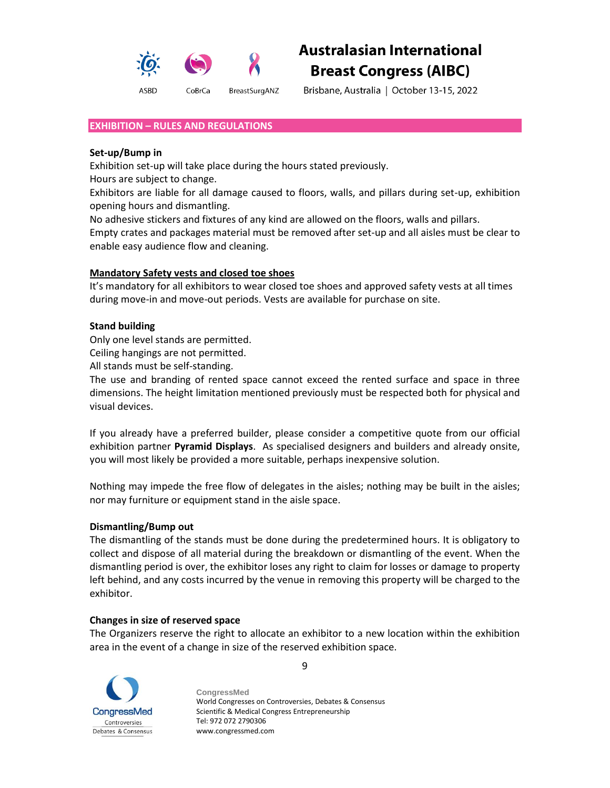

Brisbane, Australia | October 13-15, 2022

#### **EXHIBITION – RULES AND REGULATIONS**

#### **Set-up/Bump in**

Exhibition set-up will take place during the hours stated previously.

Hours are subject to change.

Exhibitors are liable for all damage caused to floors, walls, and pillars during set-up, exhibition opening hours and dismantling.

No adhesive stickers and fixtures of any kind are allowed on the floors, walls and pillars.

Empty crates and packages material must be removed after set-up and all aisles must be clear to enable easy audience flow and cleaning.

#### **Mandatory Safety vests and closed toe shoes**

It's mandatory for all exhibitors to wear closed toe shoes and approved safety vests at all times during move-in and move-out periods. Vests are available for purchase on site.

# **Stand building**

Only one level stands are permitted.

Ceiling hangings are not permitted.

All stands must be self-standing.

The use and branding of rented space cannot exceed the rented surface and space in three dimensions. The height limitation mentioned previously must be respected both for physical and visual devices.

If you already have a preferred builder, please consider a competitive quote from our official exhibition partner **Pyramid Displays**. As specialised designers and builders and already onsite, you will most likely be provided a more suitable, perhaps inexpensive solution.

Nothing may impede the free flow of delegates in the aisles; nothing may be built in the aisles; nor may furniture or equipment stand in the aisle space.

#### **Dismantling/Bump out**

The dismantling of the stands must be done during the predetermined hours. It is obligatory to collect and dispose of all material during the breakdown or dismantling of the event. When the dismantling period is over, the exhibitor loses any right to claim for losses or damage to property left behind, and any costs incurred by the venue in removing this property will be charged to the exhibitor.

# **Changes in size of reserved space**

The Organizers reserve the right to allocate an exhibitor to a new location within the exhibition area in the event of a change in size of the reserved exhibition space.



**CongressMed** World Congresses on Controversies, Debates & Consensus Scientific & Medical Congress Entrepreneurship Tel: 972 072 2790306 www.congressmed.com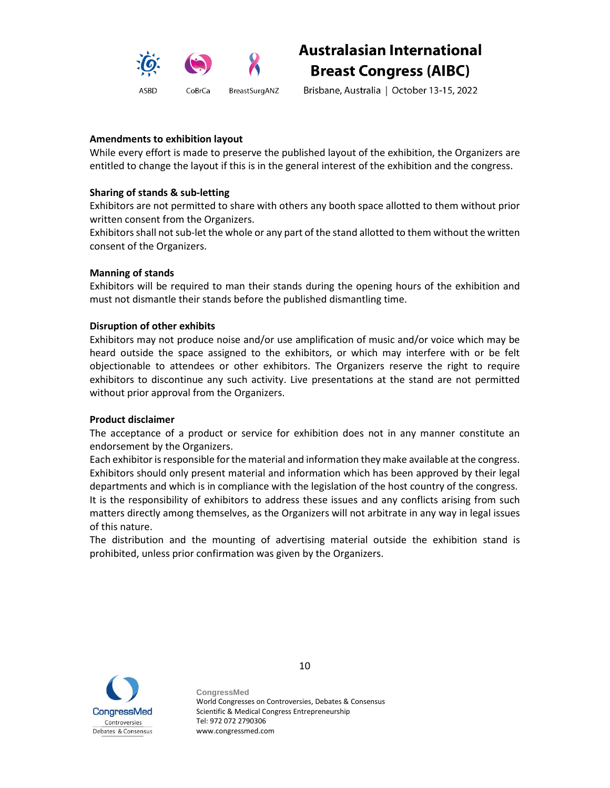

Brisbane, Australia | October 13-15, 2022

# **Amendments to exhibition layout**

While every effort is made to preserve the published layout of the exhibition, the Organizers are entitled to change the layout if this is in the general interest of the exhibition and the congress.

# **Sharing of stands & sub-letting**

Exhibitors are not permitted to share with others any booth space allotted to them without prior written consent from the Organizers.

Exhibitors shall not sub-let the whole or any part of the stand allotted to them without the written consent of the Organizers.

# **Manning of stands**

Exhibitors will be required to man their stands during the opening hours of the exhibition and must not dismantle their stands before the published dismantling time.

# **Disruption of other exhibits**

Exhibitors may not produce noise and/or use amplification of music and/or voice which may be heard outside the space assigned to the exhibitors, or which may interfere with or be felt objectionable to attendees or other exhibitors. The Organizers reserve the right to require exhibitors to discontinue any such activity. Live presentations at the stand are not permitted without prior approval from the Organizers.

# **Product disclaimer**

The acceptance of a product or service for exhibition does not in any manner constitute an endorsement by the Organizers.

Each exhibitor is responsible for the material and information they make available at the congress. Exhibitors should only present material and information which has been approved by their legal departments and which is in compliance with the legislation of the host country of the congress. It is the responsibility of exhibitors to address these issues and any conflicts arising from such matters directly among themselves, as the Organizers will not arbitrate in any way in legal issues of this nature.

The distribution and the mounting of advertising material outside the exhibition stand is prohibited, unless prior confirmation was given by the Organizers.



10

**CongressMed** World Congresses on Controversies, Debates & Consensus Scientific & Medical Congress Entrepreneurship Tel: 972 072 2790306 www.congressmed.com